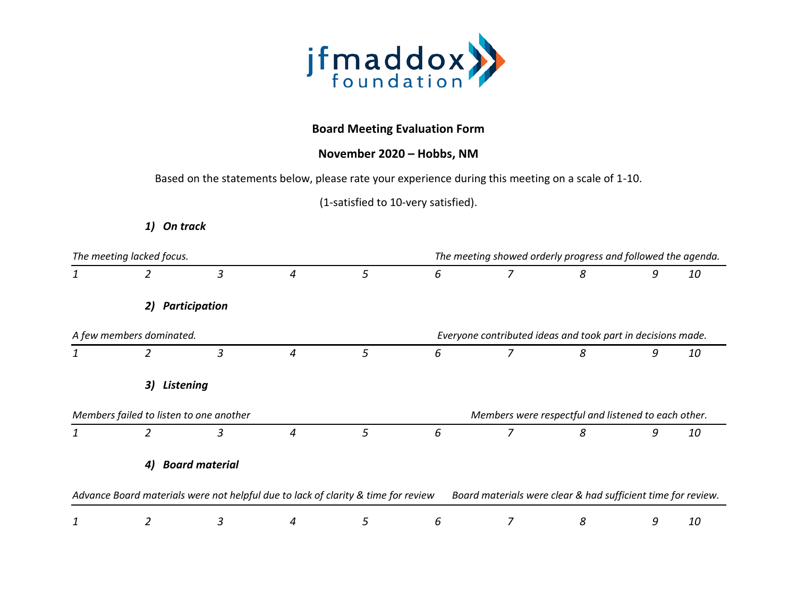

## **Board Meeting Evaluation Form**

## **November 2020 – Hobbs, NM**

Based on the statements below, please rate your experience during this meeting on a scale of 1-10.

(1-satisfied to 10-very satisfied).

*1) On track*

| The meeting lacked focus. |                                         |               |                                                                                   |   | The meeting showed orderly progress and followed the agenda. |                |                                                              |   |           |
|---------------------------|-----------------------------------------|---------------|-----------------------------------------------------------------------------------|---|--------------------------------------------------------------|----------------|--------------------------------------------------------------|---|-----------|
| 1                         | 2                                       | 3             | 4                                                                                 | 5 | 6                                                            | 7              | 8                                                            | 9 | 10        |
|                           | 2)                                      | Participation |                                                                                   |   |                                                              |                |                                                              |   |           |
|                           | A few members dominated.                |               |                                                                                   |   |                                                              |                | Everyone contributed ideas and took part in decisions made.  |   |           |
| 1                         | $\overline{2}$                          | 3             | 4                                                                                 | 5 | 6                                                            | $\overline{z}$ | 8                                                            | 9 | 10        |
|                           | <b>Listening</b><br>3)                  |               |                                                                                   |   |                                                              |                |                                                              |   |           |
|                           | Members failed to listen to one another |               |                                                                                   |   |                                                              |                | Members were respectful and listened to each other.          |   |           |
| 1                         | 2                                       | 3             | 4                                                                                 | 5 | 6                                                            | 7              | 8                                                            | 9 | 10        |
|                           | <b>Board material</b><br>4)             |               |                                                                                   |   |                                                              |                |                                                              |   |           |
|                           |                                         |               | Advance Board materials were not helpful due to lack of clarity & time for review |   |                                                              |                | Board materials were clear & had sufficient time for review. |   |           |
| 1                         |                                         | 3             | 4                                                                                 | 5 | 6                                                            | 7              | 8                                                            | 9 | <i>10</i> |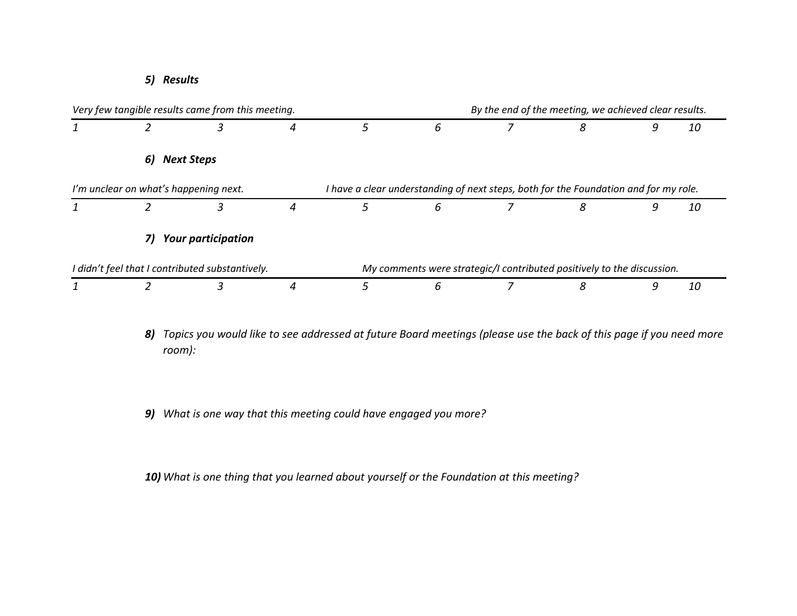*5) Results*



- *8) Topics you would like to see addressed at future Board meetings (please use the back of this page if you need more room):*
- *9) What is one way that this meeting could have engaged you more?*

*10) What is one thing that you learned about yourself or the Foundation at this meeting?*